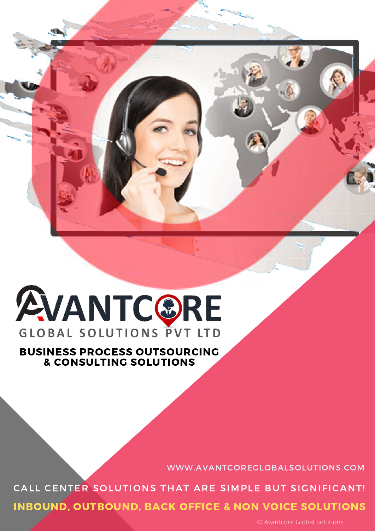

# **AVANTCORE GLOBAL SOLUTIONS PVT LTD**

# BUSINESS PROCESS OUTSOURCING & CONSULTING SOLUTIONS

WWW.AVANTCOREGLOBALSOLUTIONS.COM

INBOUND, OUTBOUND, BACK OFFICE & NON VOICE SOLUTIONS CALL CENTER SOLUTIONS THAT ARE SIMPLE BUT SIGNIFICANT!

© Avantcore Global Solutions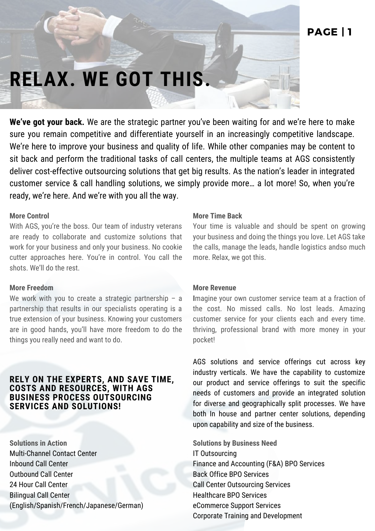# **RELAX. WE GOT THIS.**

**We've got your back.** We are the strategic partner you've been waiting for and we're here to make sure you remain competitive and differentiate yourself in an increasingly competitive landscape. We're here to improve your business and quality of life. While other companies may be content to sit back and perform the traditional tasks of call centers, the multiple teams at AGS consistently deliver cost-effective outsourcing solutions that get big results. As the nation's leader in integrated customer service & call handling solutions, we simply provide more… a lot more! So, when you're ready, we're here. And we're with you all the way.

### **More Control**

With AGS, you're the boss. Our team of industry veterans are ready to collaborate and customize solutions that work for your business and only your business. No cookie cutter approaches here. You're in control. You call the shots. We'll do the rest.

## **More Freedom**

We work with you to create a strategic partnership - a partnership that results in our specialists operating is a true extension of your business. Knowing your customers are in good hands, you'll have more freedom to do the things you really need and want to do.

# **RELY ON THE EXPERTS, AND SAVE TIME, COSTS AND RESOURCES, WITH AGS BUSINESS PROCESS OUTSOURCING SERVICES AND SOLUTIONS!**

**Solutions in Action** Multi-Channel Contact Center Inbound Call Center Outbound Call Center 24 Hour Call Center Bilingual Call Center (English/Spanish/French/Japanese/German)

#### **More Time Back**

Your time is valuable and should be spent on growing your business and doing the things you love. Let AGS take the calls, manage the leads, handle logistics andso much more. Relax, we got this.

#### **More Revenue**

**I**magine your own customer service team at a fraction of the cost. No missed calls. No lost leads. Amazing customer service for your clients each and every time. thriving, professional brand with more money in your pocket!

AGS solutions and service offerings cut across key industry verticals. We have the capability to customize our product and service offerings to suit the specific needs of customers and provide an integrated solution for diverse and geographically split processes. We have both In house and partner center solutions, depending upon capability and size of the business.

**Solutions by Business Need** IT Outsourcing Finance and Accounting (F&A) BPO Services Back Office BPO Services Call Center Outsourcing Services Healthcare BPO Services eCommerce Support Services Corporate Training and Development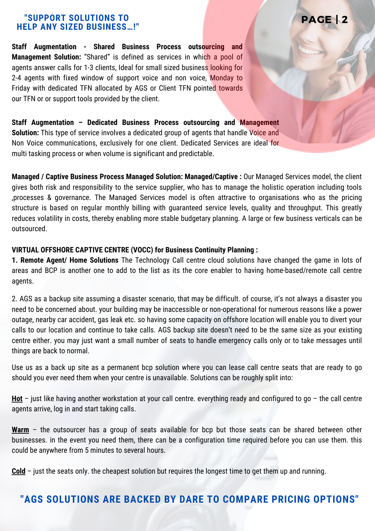## **"SUPPORT SOLUTIONS TO HELP ANY SIZED BUSINESS…!"**

**Staff Augmentation - Shared Business Process outsourcing and Management Solution:** "Shared" is defined as services in which a pool of agents answer calls for 1-3 clients, Ideal for small sized business looking for 2-4 agents with fixed window of support voice and non voice, Monday to Friday with dedicated TFN allocated by AGS or Client TFN pointed towards our TFN or or support tools provided by the client.

**Staff Augmentation – Dedicated Business Process outsourcing and Management Solution:** This type of service involves a dedicated group of agents that handle Voice and Non Voice communications, exclusively for one client. Dedicated Services are ideal for multi tasking process or when volume is significant and predictable.

**Managed / Captive Business Process Managed Solution: Managed/Captive :** Our Managed Services model, the client gives both risk and responsibility to the service supplier, who has to manage the holistic operation including tools ,processes & governance. The Managed Services model is often attractive to organisations who as the pricing structure is based on regular monthly billing with guaranteed service levels, quality and throughput. This greatly reduces volatility in costs, thereby enabling more stable budgetary planning. A large or few business verticals can be outsourced.

PAGE | 2

### **VIRTUAL OFFSHORE CAPTIVE CENTRE (VOCC) for Business Continuity Planning :**

**1. Remote Agent/ Home Solutions** The Technology Call centre cloud solutions have changed the game in lots of areas and BCP is another one to add to the list as its the core enabler to having home-based/remote call centre agents.

2. AGS as a backup site assuming a disaster scenario, that may be difficult. of course, it's not always a disaster you need to be concerned about. your building may be inaccessible or non-operational for numerous reasons like a power outage, nearby car accident, gas leak etc. so having some capacity on offshore location will enable you to divert your calls to our location and continue to take calls. AGS backup site doesn't need to be the same size as your existing centre either. you may just want a small number of seats to handle emergency calls only or to take messages until things are back to normal.

Use us as a back up site as a permanent bcp solution where you can lease call centre seats that are ready to go should you ever need them when your centre is unavailable. Solutions can be roughly split into:

**Hot** – just like having another workstation at your call centre. everything ready and configured to go – the call centre agents arrive, log in and start taking calls.

Warm – the outsourcer has a group of seats available for bcp but those seats can be shared between other businesses. in the event you need them, there can be a configuration time required before you can use them. this could be anywhere from 5 minutes to several hours.

**Cold** – just the seats only. the cheapest solution but requires the longest time to get them up and running.

# **"AGS SOLUTIONS ARE BACKED BY DARE TO COMPARE PRICING OPTIONS"**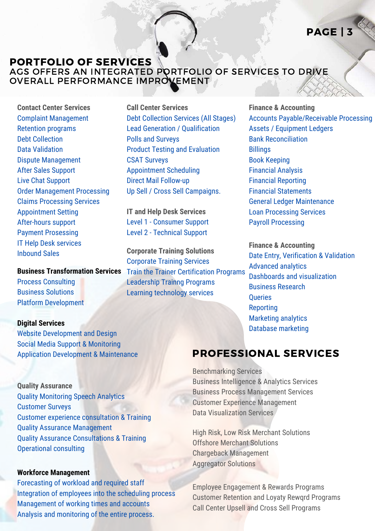# PAGE | 3

# PORTFOLIO OF SERVICES AGS OFFERS AN INTEGRATED PORTFOLIO OF SERVICES TO DRIVE OVERALL PERFORMANCE IMPROVEMENT

**Contact Center Services** Complaint Management Retention programs Debt Collection Data Validation Dispute Management After Sales Support Live Chat Support Order Management Processing Claims Processing Services Appointment Setting After-hours support Payment Prosessing IT Help Desk services Inbound Sales

Process Consulting

Business Solutions Platform Development

#### **Digital Services**

Website Development and Design Social Media Support & Monitoring Application Development & Maintenance

#### **Quality Assurance**

Quality Monitoring Speech Analytics Customer Surveys Customer experience consultation & Training Quality Assurance Management Quality Assurance Consultations & Training Operational consulting

#### **Workforce Management**

Forecasting of workload and required staff Integration of employees into the scheduling process Management of working times and accounts Analysis and monitoring of the entire process.

**Call Center Services** Debt Collection Services (All Stages) Lead Generation / Qualification Polls and Surveys Product Testing and Evaluation CSAT Surveys Appointment Scheduling Direct Mail Follow-up Up Sell / Cross Sell Campaigns.

**IT and Help Desk Services** Level 1 - Consumer Support Level 2 - Technical Support

**Corporate Training Solutions** Corporate Training Services **Business Transformation Services** Train the Trainer Certification Programs Leadership Trainng Programs Learning technology services

**Finance & Accounting** Accounts Payable/Receivable Processing Assets / Equipment Ledgers Bank Reconciliation **Billings** Book Keeping Financial Analysis Financial Reporting Financial Statements General Ledger Maintenance Loan Processing Services Payroll Processing

**Finance & Accounting** Date Entry, Verification & Validation Advanced analytics Dashboards and visualization Business Research **Oueries** Reporting Marketing analytics Database marketing

# PROFESSIONAL SERVICES

Benchmarking Services Business Intelligence & Analytics Services Business Process Management Services Customer Experience Management Data Visualization Services

High Risk, Low Risk Merchant Solutions Offshore Merchant Solutions Chargeback Management Aggregator Solutions

Employee Engagement & Rewards Programs Customer Retention and Loyaty Rewqrd Programs Call Center Upsell and Cross Sell Programs